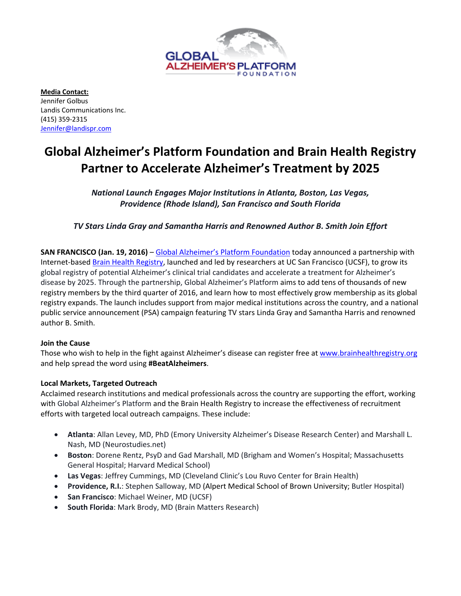

**Media Contact:** Jennifer Golbus Landis Communications Inc. (415) 359‐2315 Jennifer@landispr.com

# **Global Alzheimer's Platform Foundation and Brain Health Registry Partner to Accelerate Alzheimer's Treatment by 2025**

*National Launch Engages Major Institutions in Atlanta, Boston, Las Vegas, Providence (Rhode Island), San Francisco and South Florida* 

*TV Stars Linda Gray and Samantha Harris and Renowned Author B. Smith Join Effort* 

**SAN FRANCISCO (Jan. 19, 2016)** – Global Alzheimer's Platform Foundation today announced a partnership with Internet-based Brain Health Registry, launched and led by researchers at UC San Francisco (UCSF), to grow its global registry of potential Alzheimer's clinical trial candidates and accelerate a treatment for Alzheimer's disease by 2025. Through the partnership, Global Alzheimer's Platform aims to add tens of thousands of new registry members by the third quarter of 2016, and learn how to most effectively grow membership as its global registry expands. The launch includes support from major medical institutions across the country, and a national public service announcement (PSA) campaign featuring TV stars Linda Gray and Samantha Harris and renowned author B. Smith.

## **Join the Cause**

Those who wish to help in the fight against Alzheimer's disease can register free at www.brainhealthregistry.org and help spread the word using **#BeatAlzheimers**.

# **Local Markets, Targeted Outreach**

Acclaimed research institutions and medical professionals across the country are supporting the effort, working with Global Alzheimer's Platform and the Brain Health Registry to increase the effectiveness of recruitment efforts with targeted local outreach campaigns. These include:

- **Atlanta**: Allan Levey, MD, PhD (Emory University Alzheimer's Disease Research Center) and Marshall L. Nash, MD (Neurostudies.net)
- **Boston**: Dorene Rentz, PsyD and Gad Marshall, MD (Brigham and Women's Hospital; Massachusetts General Hospital; Harvard Medical School)
- **Las Vegas**: Jeffrey Cummings, MD (Cleveland Clinic's Lou Ruvo Center for Brain Health)
- **Providence, R.I.**: Stephen Salloway, MD (Alpert Medical School of Brown University; Butler Hospital)
- **San Francisco**: Michael Weiner, MD (UCSF)
- **South Florida**: Mark Brody, MD (Brain Matters Research)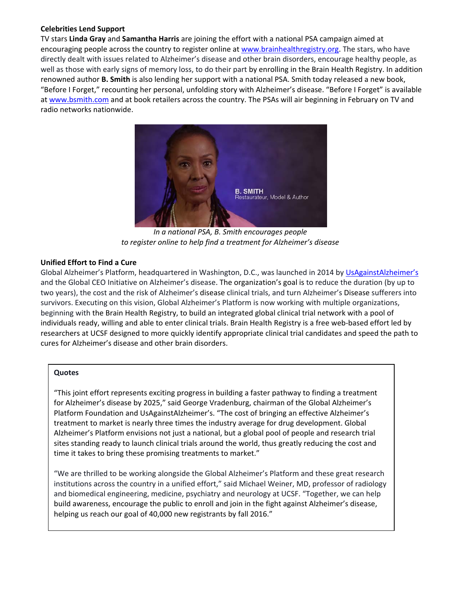# **Celebrities Lend Support**

TV stars **Linda Gray** and **Samantha Harris** are joining the effort with a national PSA campaign aimed at encouraging people across the country to register online at www.brainhealthregistry.org. The stars, who have directly dealt with issues related to Alzheimer's disease and other brain disorders, encourage healthy people, as well as those with early signs of memory loss, to do their part by enrolling in the Brain Health Registry. In addition renowned author **B. Smith** is also lending her support with a national PSA. Smith today released a new book, "Before I Forget," recounting her personal, unfolding story with Alzheimer's disease. "Before I Forget" is available at www.bsmith.com and at book retailers across the country. The PSAs will air beginning in February on TV and radio networks nationwide.



*In a national PSA, B. Smith encourages people to register online to help find a treatment for Alzheimer's disease*

# **Unified Effort to Find a Cure**

Global Alzheimer's Platform, headquartered in Washington, D.C., was launched in 2014 by UsAgainstAlzheimer's and the Global CEO Initiative on Alzheimer's disease. The organization's goal is to reduce the duration (by up to two years), the cost and the risk of Alzheimer's disease clinical trials, and turn Alzheimer's Disease sufferers into survivors. Executing on this vision, Global Alzheimer's Platform is now working with multiple organizations, beginning with the Brain Health Registry, to build an integrated global clinical trial network with a pool of individuals ready, willing and able to enter clinical trials. Brain Health Registry is a free web‐based effort led by researchers at UCSF designed to more quickly identify appropriate clinical trial candidates and speed the path to cures for Alzheimer's disease and other brain disorders.

## **Quotes**

"This joint effort represents exciting progress in building a faster pathway to finding a treatment for Alzheimer's disease by 2025," said George Vradenburg, chairman of the Global Alzheimer's Platform Foundation and UsAgainstAlzheimer's. "The cost of bringing an effective Alzheimer's treatment to market is nearly three times the industry average for drug development. Global Alzheimer's Platform envisions not just a national, but a global pool of people and research trial sites standing ready to launch clinical trials around the world, thus greatly reducing the cost and time it takes to bring these promising treatments to market."

"We are thrilled to be working alongside the Global Alzheimer's Platform and these great research institutions across the country in a unified effort," said Michael Weiner, MD, professor of radiology and biomedical engineering, medicine, psychiatry and neurology at UCSF. "Together, we can help build awareness, encourage the public to enroll and join in the fight against Alzheimer's disease, helping us reach our goal of 40,000 new registrants by fall 2016."